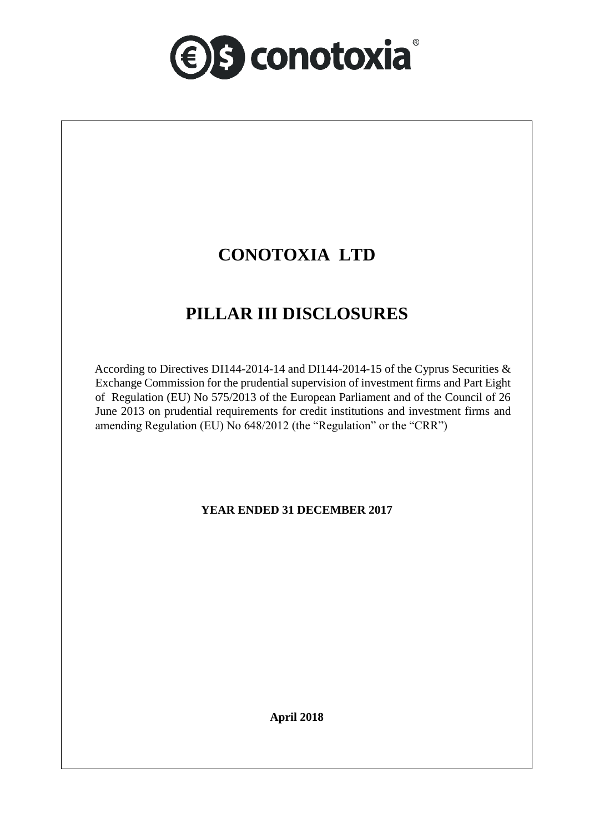

# **CONOTOXIA LTD**

# **PILLAR III DISCLOSURES**

According to Directives DI144-2014-14 and DI144-2014-15 of the Cyprus Securities & Exchange Commission for the prudential supervision of investment firms and Part Eight of Regulation (EU) No 575/2013 of the European Parliament and of the Council of 26 June 2013 on prudential requirements for credit institutions and investment firms and amending Regulation (EU) No 648/2012 (the "Regulation" or the "CRR")

## **YEAR ENDED 31 DECEMBER 2017**

**April 2018**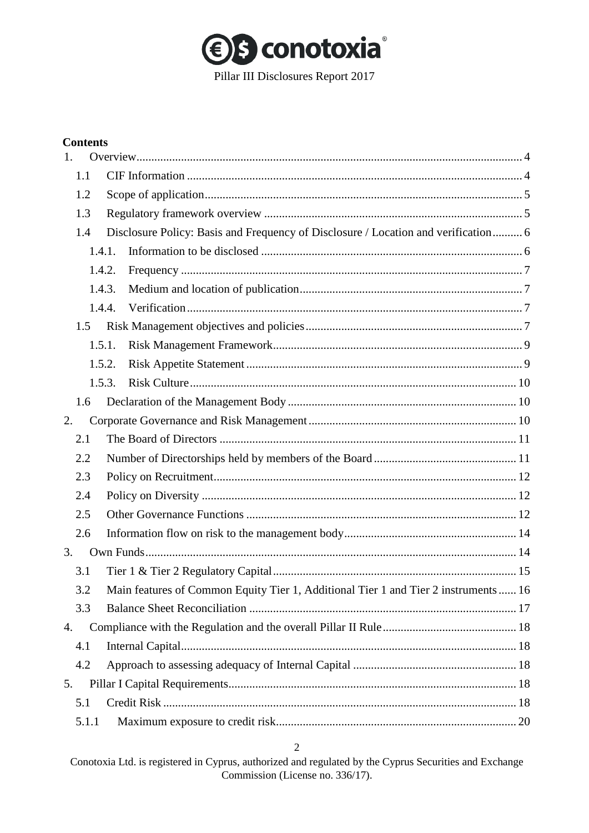

## **Contents**

| 1. |        |        |                                                                                     |  |
|----|--------|--------|-------------------------------------------------------------------------------------|--|
|    | 1.1    |        |                                                                                     |  |
|    | 1.2    |        |                                                                                     |  |
|    | 1.3    |        |                                                                                     |  |
|    | 1.4    |        | Disclosure Policy: Basis and Frequency of Disclosure / Location and verification 6  |  |
|    | 1.4.1. |        |                                                                                     |  |
|    | 1.4.2. |        |                                                                                     |  |
|    | 1.4.3. |        |                                                                                     |  |
|    |        | 1.4.4. |                                                                                     |  |
|    | 1.5    |        |                                                                                     |  |
|    | 1.5.1. |        |                                                                                     |  |
|    | 1.5.2. |        |                                                                                     |  |
|    | 1.5.3. |        |                                                                                     |  |
|    | 1.6    |        |                                                                                     |  |
| 2. |        |        |                                                                                     |  |
|    | 2.1    |        |                                                                                     |  |
|    | 2.2    |        |                                                                                     |  |
|    | 2.3    |        |                                                                                     |  |
|    | 2.4    |        |                                                                                     |  |
|    | 2.5    |        |                                                                                     |  |
|    | 2.6    |        |                                                                                     |  |
| 3. |        |        |                                                                                     |  |
|    | 3.1    |        |                                                                                     |  |
|    | 3.2    |        | Main features of Common Equity Tier 1, Additional Tier 1 and Tier 2 instruments  16 |  |
|    | 3.3    |        |                                                                                     |  |
| 4. |        |        |                                                                                     |  |
|    | 4.1    |        |                                                                                     |  |
|    | 4.2    |        |                                                                                     |  |
| 5. |        |        |                                                                                     |  |
|    | 5.1    |        |                                                                                     |  |
|    | 5.1.1  |        |                                                                                     |  |

## $\overline{2}$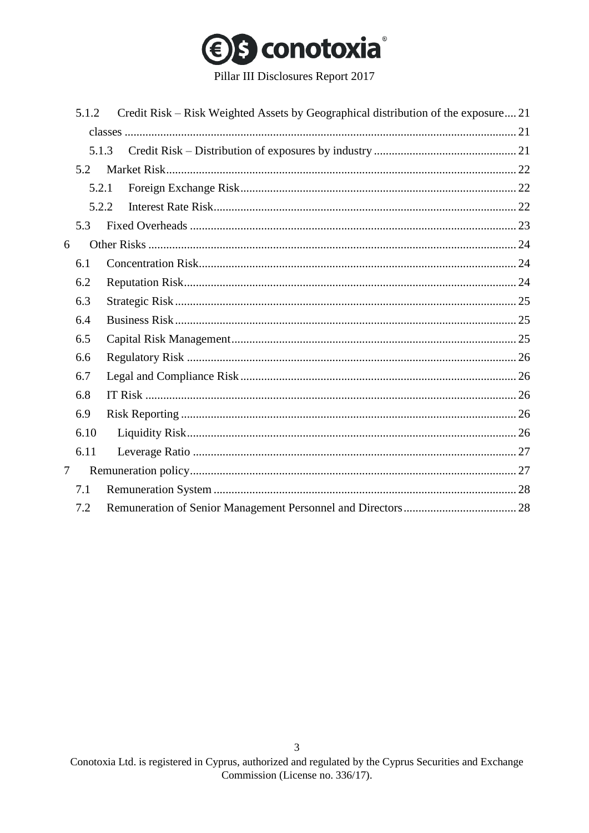

Pillar III Disclosures Report 2017

|   | 5.1.2 | Credit Risk – Risk Weighted Assets by Geographical distribution of the exposure 21 |
|---|-------|------------------------------------------------------------------------------------|
|   |       |                                                                                    |
|   | 5.1.3 |                                                                                    |
|   | 5.2   |                                                                                    |
|   | 5.2.1 |                                                                                    |
|   | 5.2.2 |                                                                                    |
|   | 5.3   |                                                                                    |
| 6 |       |                                                                                    |
|   | 6.1   |                                                                                    |
|   | 6.2   |                                                                                    |
|   | 6.3   |                                                                                    |
|   | 6.4   |                                                                                    |
|   | 6.5   |                                                                                    |
|   | 6.6   |                                                                                    |
|   | 6.7   |                                                                                    |
|   | 6.8   |                                                                                    |
|   | 6.9   |                                                                                    |
|   | 6.10  |                                                                                    |
|   | 6.11  |                                                                                    |
| 7 |       |                                                                                    |
|   | 7.1   |                                                                                    |
|   | 7.2   |                                                                                    |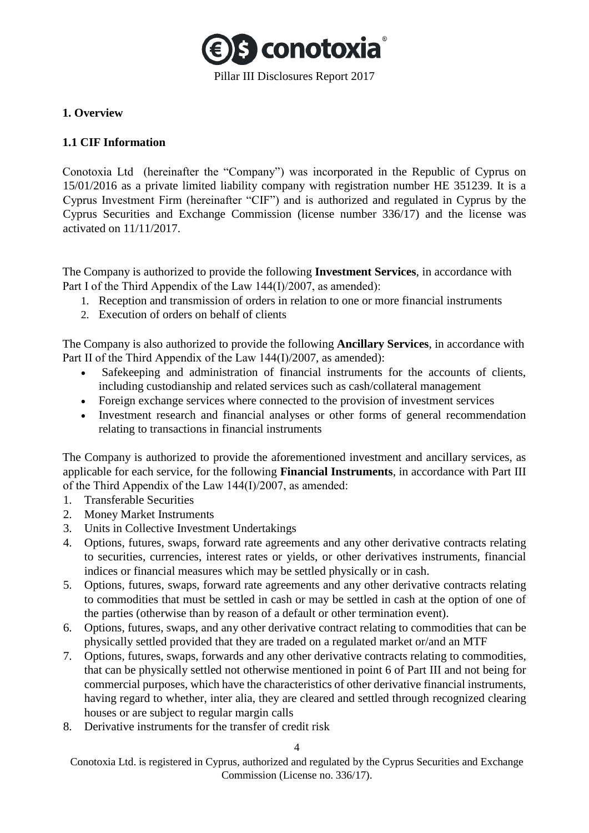

## <span id="page-3-0"></span>**1. Overview**

## <span id="page-3-1"></span>**1.1 CIF Information**

Conotoxia Ltd (hereinafter the "Company") was incorporated in the Republic of Cyprus on 15/01/2016 as a private limited liability company with registration number HE 351239. It is a Cyprus Investment Firm (hereinafter "CIF") and is authorized and regulated in Cyprus by the Cyprus Securities and Exchange Commission (license number 336/17) and the license was activated on 11/11/2017.

The Company is authorized to provide the following **Investment Services**, in accordance with Part Ι of the Third Appendix of the Law 144(Ι)/2007, as amended):

- 1. Reception and transmission of orders in relation to one or more financial instruments
- 2. Execution of orders on behalf of clients

The Company is also authorized to provide the following **Ancillary Services**, in accordance with Part II of the Third Appendix of the Law 144(I)/2007, as amended):

- Safekeeping and administration of financial instruments for the accounts of clients, including custodianship and related services such as cash/collateral management
- Foreign exchange services where connected to the provision of investment services
- Investment research and financial analyses or other forms of general recommendation relating to transactions in financial instruments

The Company is authorized to provide the aforementioned investment and ancillary services, as applicable for each service, for the following **Financial Instruments**, in accordance with Part III of the Third Appendix of the Law 144(Ι)/2007, as amended:

- 1. Transferable Securities
- 2. Money Market Instruments
- 3. Units in Collective Investment Undertakings
- 4. Options, futures, swaps, forward rate agreements and any other derivative contracts relating to securities, currencies, interest rates or yields, or other derivatives instruments, financial indices or financial measures which may be settled physically or in cash.
- 5. Options, futures, swaps, forward rate agreements and any other derivative contracts relating to commodities that must be settled in cash or may be settled in cash at the option of one of the parties (otherwise than by reason of a default or other termination event).
- 6. Options, futures, swaps, and any other derivative contract relating to commodities that can be physically settled provided that they are traded on a regulated market or/and an MTF
- 7. Options, futures, swaps, forwards and any other derivative contracts relating to commodities, that can be physically settled not otherwise mentioned in point 6 of Part III and not being for commercial purposes, which have the characteristics of other derivative financial instruments, having regard to whether, inter alia, they are cleared and settled through recognized clearing houses or are subject to regular margin calls
- 8. Derivative instruments for the transfer of credit risk

4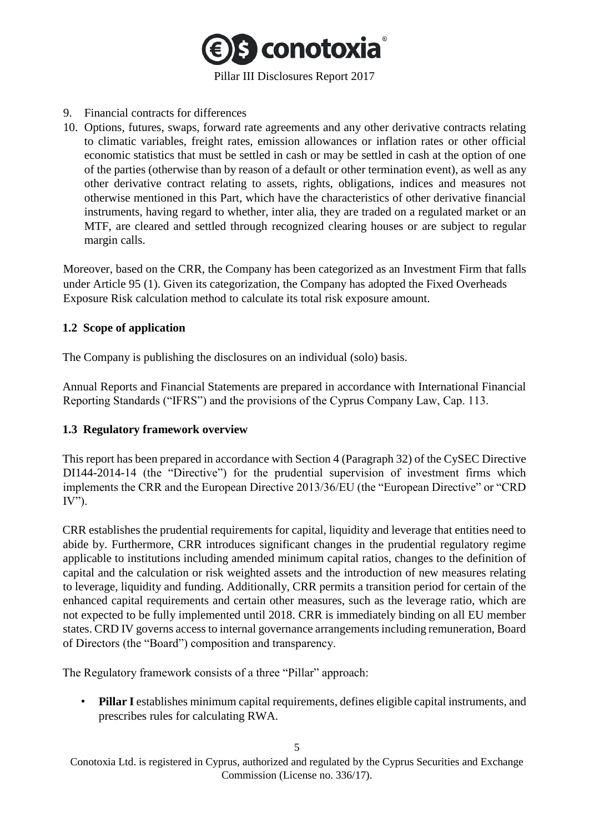

#### 9. Financial contracts for differences

10. Options, futures, swaps, forward rate agreements and any other derivative contracts relating to climatic variables, freight rates, emission allowances or inflation rates or other official economic statistics that must be settled in cash or may be settled in cash at the option of one of the parties (otherwise than by reason of a default or other termination event), as well as any other derivative contract relating to assets, rights, obligations, indices and measures not otherwise mentioned in this Part, which have the characteristics of other derivative financial instruments, having regard to whether, inter alia, they are traded on a regulated market or an MTF, are cleared and settled through recognized clearing houses or are subject to regular margin calls.

Moreover, based on the CRR, the Company has been categorized as an Investment Firm that falls under Article 95 (1). Given its categorization, the Company has adopted the Fixed Overheads Exposure Risk calculation method to calculate its total risk exposure amount.

## <span id="page-4-0"></span>**1.2 Scope of application**

The Company is publishing the disclosures on an individual (solo) basis.

Annual Reports and Financial Statements are prepared in accordance with International Financial Reporting Standards ("IFRS") and the provisions of the Cyprus Company Law, Cap. 113.

## <span id="page-4-1"></span>**1.3 Regulatory framework overview**

This report has been prepared in accordance with Section 4 (Paragraph 32) of the CySEC Directive DI144-2014-14 (the "Directive") for the prudential supervision of investment firms which implements the CRR and the European Directive 2013/36/EU (the "European Directive" or "CRD  $IV$ ").

CRR establishes the prudential requirements for capital, liquidity and leverage that entities need to abide by. Furthermore, CRR introduces significant changes in the prudential regulatory regime applicable to institutions including amended minimum capital ratios, changes to the definition of capital and the calculation or risk weighted assets and the introduction of new measures relating to leverage, liquidity and funding. Additionally, CRR permits a transition period for certain of the enhanced capital requirements and certain other measures, such as the leverage ratio, which are not expected to be fully implemented until 2018. CRR is immediately binding on all EU member states. CRD IV governs access to internal governance arrangements including remuneration, Board of Directors (the "Board") composition and transparency.

The Regulatory framework consists of a three "Pillar" approach:

• **Pillar I** establishes minimum capital requirements, defines eligible capital instruments, and prescribes rules for calculating RWA.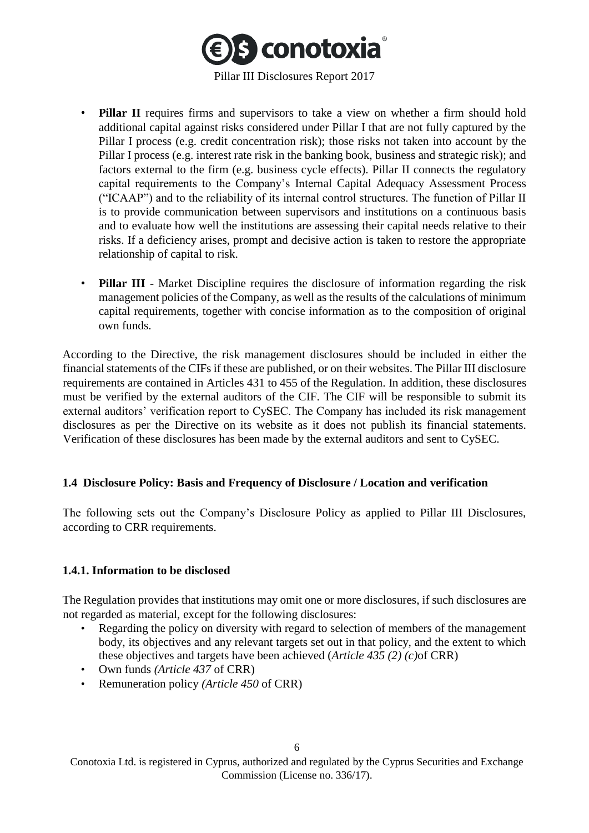

- **Pillar II** requires firms and supervisors to take a view on whether a firm should hold additional capital against risks considered under Pillar I that are not fully captured by the Pillar I process (e.g. credit concentration risk); those risks not taken into account by the Pillar I process (e.g. interest rate risk in the banking book, business and strategic risk); and factors external to the firm (e.g. business cycle effects). Pillar II connects the regulatory capital requirements to the Company's Internal Capital Adequacy Assessment Process ("ICAAP") and to the reliability of its internal control structures. The function of Pillar II is to provide communication between supervisors and institutions on a continuous basis and to evaluate how well the institutions are assessing their capital needs relative to their risks. If a deficiency arises, prompt and decisive action is taken to restore the appropriate relationship of capital to risk.
- **Pillar III** Market Discipline requires the disclosure of information regarding the risk management policies of the Company, as well as the results of the calculations of minimum capital requirements, together with concise information as to the composition of original own funds.

According to the Directive, the risk management disclosures should be included in either the financial statements of the CIFs if these are published, or on their websites. The Pillar III disclosure requirements are contained in Articles 431 to 455 of the Regulation. In addition, these disclosures must be verified by the external auditors of the CIF. The CIF will be responsible to submit its external auditors' verification report to CySEC. The Company has included its risk management disclosures as per the Directive on its website as it does not publish its financial statements. Verification of these disclosures has been made by the external auditors and sent to CySEC.

## <span id="page-5-0"></span>**1.4 Disclosure Policy: Basis and Frequency of Disclosure / Location and verification**

The following sets out the Company's Disclosure Policy as applied to Pillar III Disclosures, according to CRR requirements.

#### <span id="page-5-1"></span>**1.4.1. Information to be disclosed**

The Regulation provides that institutions may omit one or more disclosures, if such disclosures are not regarded as material, except for the following disclosures:

- Regarding the policy on diversity with regard to selection of members of the management body, its objectives and any relevant targets set out in that policy, and the extent to which these objectives and targets have been achieved (*Article 435 (2) (c)*of CRR)
- Own funds *(Article 437* of CRR)
- Remuneration policy *(Article 450* of CRR)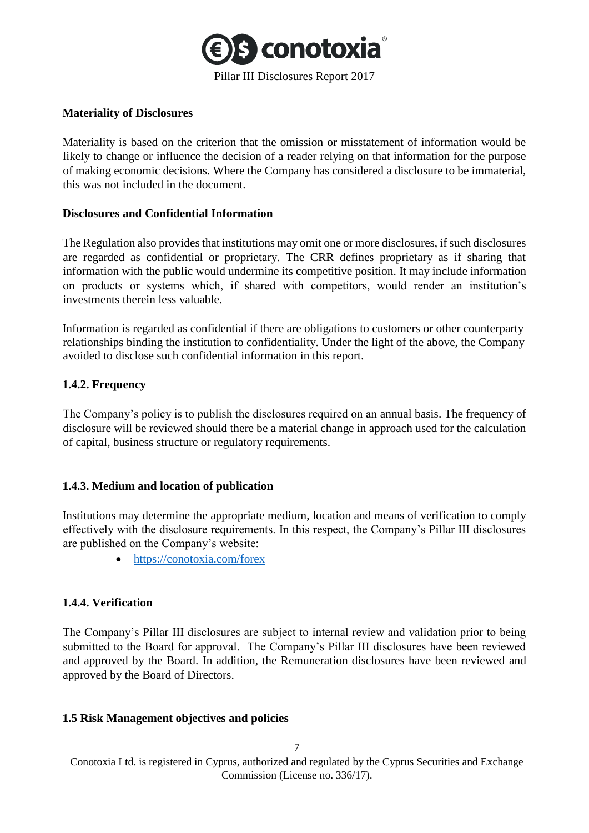

#### **Materiality of Disclosures**

Materiality is based on the criterion that the omission or misstatement of information would be likely to change or influence the decision of a reader relying on that information for the purpose of making economic decisions. Where the Company has considered a disclosure to be immaterial, this was not included in the document.

#### **Disclosures and Confidential Information**

The Regulation also provides that institutions may omit one or more disclosures, if such disclosures are regarded as confidential or proprietary. The CRR defines proprietary as if sharing that information with the public would undermine its competitive position. It may include information on products or systems which, if shared with competitors, would render an institution's investments therein less valuable.

Information is regarded as confidential if there are obligations to customers or other counterparty relationships binding the institution to confidentiality. Under the light of the above, the Company avoided to disclose such confidential information in this report.

## <span id="page-6-0"></span>**1.4.2. Frequency**

The Company's policy is to publish the disclosures required on an annual basis. The frequency of disclosure will be reviewed should there be a material change in approach used for the calculation of capital, business structure or regulatory requirements.

## <span id="page-6-1"></span>**1.4.3. Medium and location of publication**

Institutions may determine the appropriate medium, location and means of verification to comply effectively with the disclosure requirements. In this respect, the Company's Pillar III disclosures are published on the Company's website:

• <https://conotoxia.com/forex>

## <span id="page-6-2"></span>**1.4.4. Verification**

The Company's Pillar III disclosures are subject to internal review and validation prior to being submitted to the Board for approval. The Company's Pillar III disclosures have been reviewed and approved by the Board. In addition, the Remuneration disclosures have been reviewed and approved by the Board of Directors.

## <span id="page-6-3"></span>**1.5 Risk Management objectives and policies**

Conotoxia Ltd. is registered in Cyprus, authorized and regulated by the Cyprus Securities and Exchange Commission (License no. 336/17).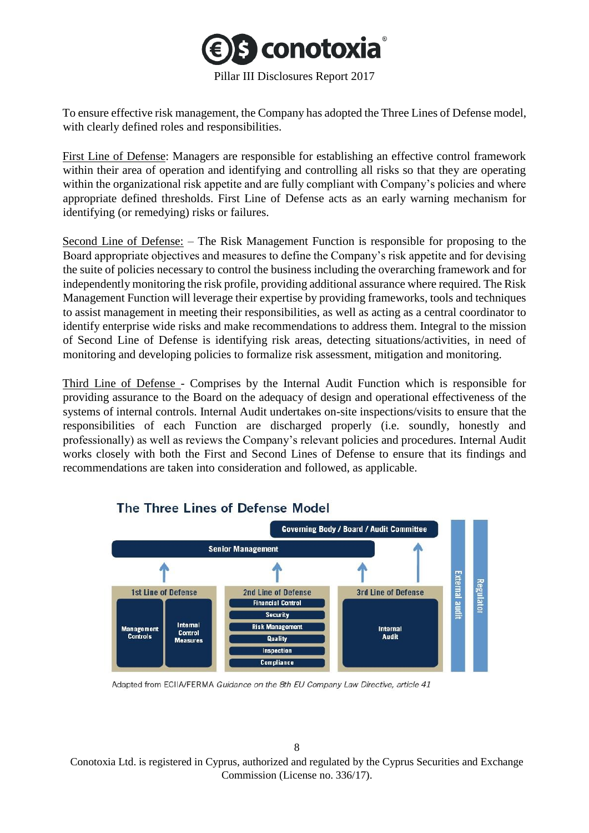

To ensure effective risk management, the Company has adopted the Three Lines of Defense model, with clearly defined roles and responsibilities.

First Line of Defense: Managers are responsible for establishing an effective control framework within their area of operation and identifying and controlling all risks so that they are operating within the organizational risk appetite and are fully compliant with Company's policies and where appropriate defined thresholds. First Line of Defense acts as an early warning mechanism for identifying (or remedying) risks or failures.

Second Line of Defense: – The Risk Management Function is responsible for proposing to the Board appropriate objectives and measures to define the Company's risk appetite and for devising the suite of policies necessary to control the business including the overarching framework and for independently monitoring the risk profile, providing additional assurance where required. The Risk Management Function will leverage their expertise by providing frameworks, tools and techniques to assist management in meeting their responsibilities, as well as acting as a central coordinator to identify enterprise wide risks and make recommendations to address them. Integral to the mission of Second Line of Defense is identifying risk areas, detecting situations/activities, in need of monitoring and developing policies to formalize risk assessment, mitigation and monitoring.

Third Line of Defense - Comprises by the Internal Audit Function which is responsible for providing assurance to the Board on the adequacy of design and operational effectiveness of the systems of internal controls. Internal Audit undertakes on-site inspections/visits to ensure that the responsibilities of each Function are discharged properly (i.e. soundly, honestly and professionally) as well as reviews the Company's relevant policies and procedures. Internal Audit works closely with both the First and Second Lines of Defense to ensure that its findings and recommendations are taken into consideration and followed, as applicable.



## The Three Lines of Defense Model

Adapted from ECIIA/FERMA Guidance on the 8th EU Company Law Directive, article 41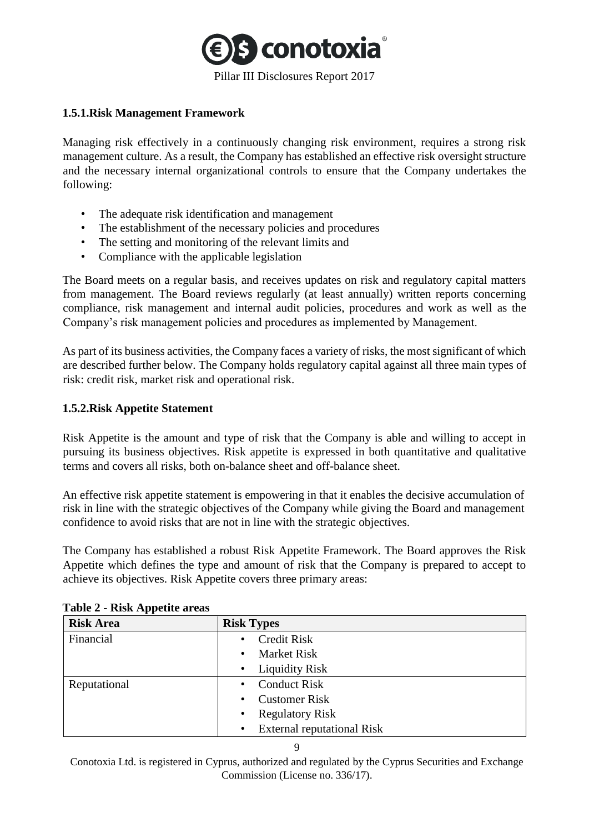

## <span id="page-8-0"></span>**1.5.1.Risk Management Framework**

Managing risk effectively in a continuously changing risk environment, requires a strong risk management culture. As a result, the Company has established an effective risk oversight structure and the necessary internal organizational controls to ensure that the Company undertakes the following:

- The adequate risk identification and management
- The establishment of the necessary policies and procedures
- The setting and monitoring of the relevant limits and
- Compliance with the applicable legislation

The Board meets on a regular basis, and receives updates on risk and regulatory capital matters from management. The Board reviews regularly (at least annually) written reports concerning compliance, risk management and internal audit policies, procedures and work as well as the Company's risk management policies and procedures as implemented by Management.

As part of its business activities, the Company faces a variety of risks, the most significant of which are described further below. The Company holds regulatory capital against all three main types of risk: credit risk, market risk and operational risk.

## <span id="page-8-1"></span>**1.5.2.Risk Appetite Statement**

Risk Appetite is the amount and type of risk that the Company is able and willing to accept in pursuing its business objectives. Risk appetite is expressed in both quantitative and qualitative terms and covers all risks, both on-balance sheet and off-balance sheet.

An effective risk appetite statement is empowering in that it enables the decisive accumulation of risk in line with the strategic objectives of the Company while giving the Board and management confidence to avoid risks that are not in line with the strategic objectives.

The Company has established a robust Risk Appetite Framework. The Board approves the Risk Appetite which defines the type and amount of risk that the Company is prepared to accept to achieve its objectives. Risk Appetite covers three primary areas:

| <b>Risk Area</b> | <b>Risk Types</b>                              |
|------------------|------------------------------------------------|
| Financial        | <b>Credit Risk</b><br>$\bullet$                |
|                  | <b>Market Risk</b><br>$\bullet$                |
|                  | • Liquidity Risk                               |
| Reputational     | <b>Conduct Risk</b><br>$\bullet$               |
|                  | <b>Customer Risk</b><br>$\bullet$              |
|                  | <b>Regulatory Risk</b>                         |
|                  | <b>External reputational Risk</b><br>$\bullet$ |

**Table 2 - Risk Appetite areas** 

 $\overline{Q}$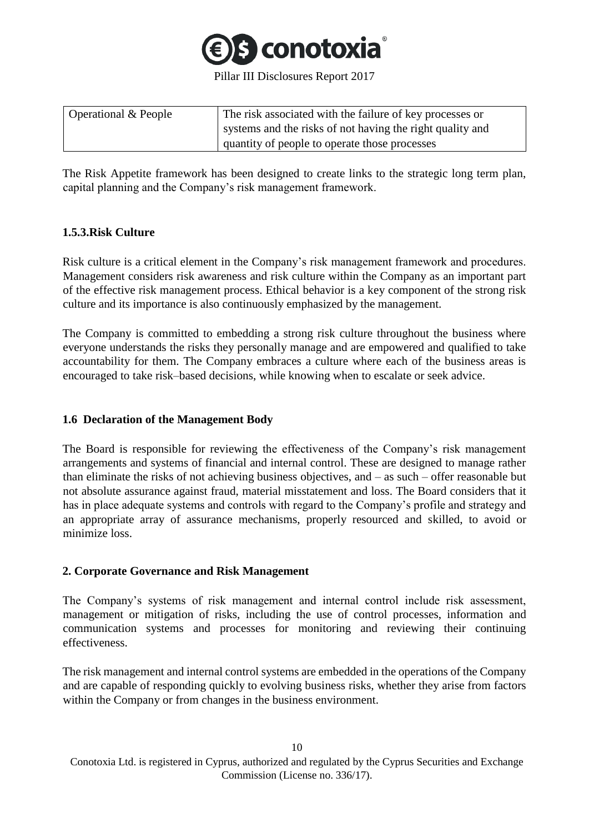

| Operational & People | The risk associated with the failure of key processes or  |
|----------------------|-----------------------------------------------------------|
|                      | systems and the risks of not having the right quality and |
|                      | quantity of people to operate those processes             |

The Risk Appetite framework has been designed to create links to the strategic long term plan, capital planning and the Company's risk management framework.

## <span id="page-9-0"></span>**1.5.3.Risk Culture**

Risk culture is a critical element in the Company's risk management framework and procedures. Management considers risk awareness and risk culture within the Company as an important part of the effective risk management process. Ethical behavior is a key component of the strong risk culture and its importance is also continuously emphasized by the management.

The Company is committed to embedding a strong risk culture throughout the business where everyone understands the risks they personally manage and are empowered and qualified to take accountability for them. The Company embraces a culture where each of the business areas is encouraged to take risk–based decisions, while knowing when to escalate or seek advice.

## <span id="page-9-1"></span>**1.6 Declaration of the Management Body**

The Board is responsible for reviewing the effectiveness of the Company's risk management arrangements and systems of financial and internal control. These are designed to manage rather than eliminate the risks of not achieving business objectives, and – as such – offer reasonable but not absolute assurance against fraud, material misstatement and loss. The Board considers that it has in place adequate systems and controls with regard to the Company's profile and strategy and an appropriate array of assurance mechanisms, properly resourced and skilled, to avoid or minimize loss.

## <span id="page-9-2"></span>**2. Corporate Governance and Risk Management**

The Company's systems of risk management and internal control include risk assessment, management or mitigation of risks, including the use of control processes, information and communication systems and processes for monitoring and reviewing their continuing effectiveness.

The risk management and internal control systems are embedded in the operations of the Company and are capable of responding quickly to evolving business risks, whether they arise from factors within the Company or from changes in the business environment.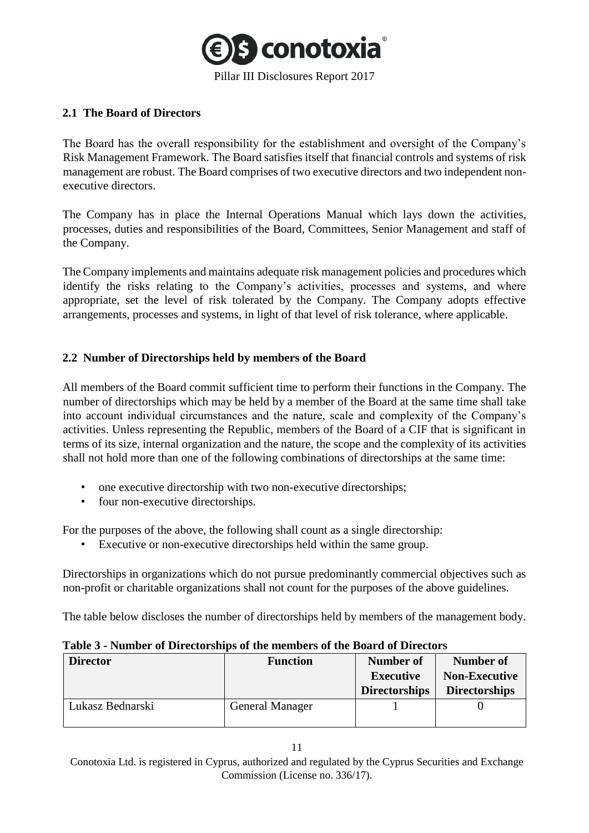

## <span id="page-10-0"></span>**2.1 The Board of Directors**

The Board has the overall responsibility for the establishment and oversight of the Company's Risk Management Framework. The Board satisfies itself that financial controls and systems of risk management are robust. The Board comprises of two executive directors and two independent nonexecutive directors.

The Company has in place the Internal Operations Manual which lays down the activities, processes, duties and responsibilities of the Board, Committees, Senior Management and staff of the Company.

The Company implements and maintains adequate risk management policies and procedures which identify the risks relating to the Company's activities, processes and systems, and where appropriate, set the level of risk tolerated by the Company. The Company adopts effective arrangements, processes and systems, in light of that level of risk tolerance, where applicable.

## <span id="page-10-1"></span>**2.2 Number of Directorships held by members of the Board**

All members of the Board commit sufficient time to perform their functions in the Company. The number of directorships which may be held by a member of the Board at the same time shall take into account individual circumstances and the nature, scale and complexity of the Company's activities. Unless representing the Republic, members of the Board of a CIF that is significant in terms of its size, internal organization and the nature, the scope and the complexity of its activities shall not hold more than one of the following combinations of directorships at the same time:

- one executive directorship with two non-executive directorships;
- four non-executive directorships.

For the purposes of the above, the following shall count as a single directorship:

• Executive or non-executive directorships held within the same group.

Directorships in organizations which do not pursue predominantly commercial objectives such as non-profit or charitable organizations shall not count for the purposes of the above guidelines.

The table below discloses the number of directorships held by members of the management body.

| <b>Director</b>  | <b>Function</b> | Number of<br><b>Executive</b><br><b>Directorships</b> | <b>Number of</b><br><b>Non-Executive</b><br><b>Directorships</b> |
|------------------|-----------------|-------------------------------------------------------|------------------------------------------------------------------|
| Lukasz Bednarski | General Manager |                                                       |                                                                  |

| Table 3 - Number of Directorships of the members of the Board of Directors |  |  |  |  |  |  |
|----------------------------------------------------------------------------|--|--|--|--|--|--|
|----------------------------------------------------------------------------|--|--|--|--|--|--|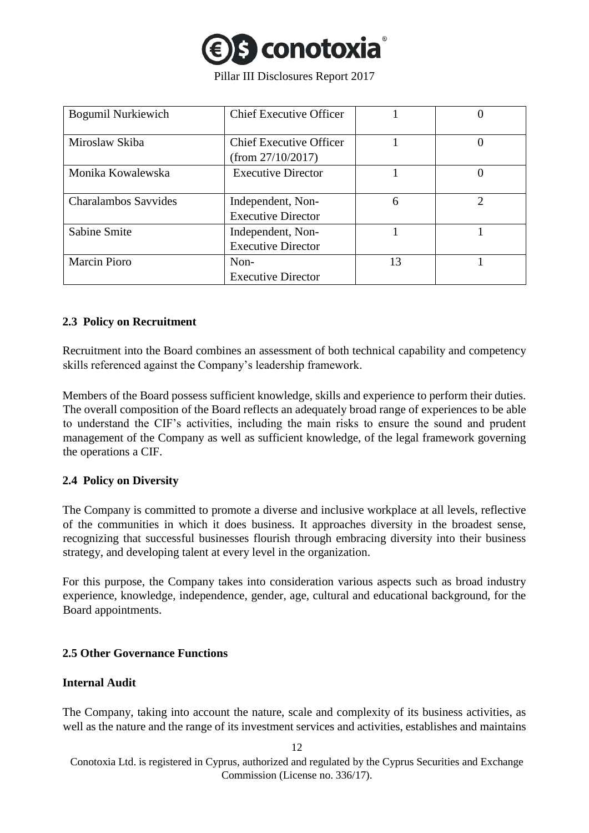

| <b>Bogumil Nurkiewich</b>   | <b>Chief Executive Officer</b>                      |    |                |
|-----------------------------|-----------------------------------------------------|----|----------------|
| Miroslaw Skiba              | <b>Chief Executive Officer</b><br>(from 27/10/2017) |    |                |
| Monika Kowalewska           | <b>Executive Director</b>                           |    |                |
| <b>Charalambos Savvides</b> | Independent, Non-<br><b>Executive Director</b>      | 6  | $\mathfrak{D}$ |
| <b>Sabine Smite</b>         | Independent, Non-<br><b>Executive Director</b>      |    |                |
| <b>Marcin Pioro</b>         | Non-<br><b>Executive Director</b>                   | 13 |                |

#### <span id="page-11-0"></span>**2.3 Policy on Recruitment**

Recruitment into the Board combines an assessment of both technical capability and competency skills referenced against the Company's leadership framework.

Members of the Board possess sufficient knowledge, skills and experience to perform their duties. The overall composition of the Board reflects an adequately broad range of experiences to be able to understand the CIF's activities, including the main risks to ensure the sound and prudent management of the Company as well as sufficient knowledge, of the legal framework governing the operations a CIF.

## <span id="page-11-1"></span>**2.4 Policy on Diversity**

The Company is committed to promote a diverse and inclusive workplace at all levels, reflective of the communities in which it does business. It approaches diversity in the broadest sense, recognizing that successful businesses flourish through embracing diversity into their business strategy, and developing talent at every level in the organization.

For this purpose, the Company takes into consideration various aspects such as broad industry experience, knowledge, independence, gender, age, cultural and educational background, for the Board appointments.

## <span id="page-11-2"></span>**2.5 Other Governance Functions**

#### **Internal Audit**

The Company, taking into account the nature, scale and complexity of its business activities, as well as the nature and the range of its investment services and activities, establishes and maintains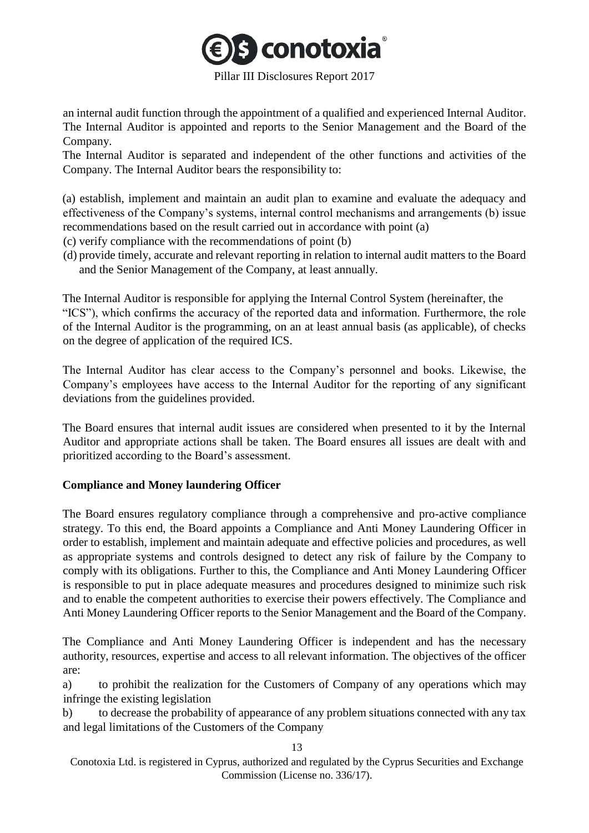

an internal audit function through the appointment of a qualified and experienced Internal Auditor. The Internal Auditor is appointed and reports to the Senior Management and the Board of the Company.

The Internal Auditor is separated and independent of the other functions and activities of the Company. The Internal Auditor bears the responsibility to:

(a) establish, implement and maintain an audit plan to examine and evaluate the adequacy and effectiveness of the Company's systems, internal control mechanisms and arrangements (b) issue recommendations based on the result carried out in accordance with point (a)

(c) verify compliance with the recommendations of point (b)

(d) provide timely, accurate and relevant reporting in relation to internal audit matters to the Board and the Senior Management of the Company, at least annually.

The Internal Auditor is responsible for applying the Internal Control System (hereinafter, the "ICS"), which confirms the accuracy of the reported data and information. Furthermore, the role of the Internal Auditor is the programming, on an at least annual basis (as applicable), of checks on the degree of application of the required ICS.

The Internal Auditor has clear access to the Company's personnel and books. Likewise, the Company's employees have access to the Internal Auditor for the reporting of any significant deviations from the guidelines provided.

The Board ensures that internal audit issues are considered when presented to it by the Internal Auditor and appropriate actions shall be taken. The Board ensures all issues are dealt with and prioritized according to the Board's assessment.

## **Compliance and Money laundering Officer**

The Board ensures regulatory compliance through a comprehensive and pro-active compliance strategy. To this end, the Board appoints a Compliance and Anti Money Laundering Officer in order to establish, implement and maintain adequate and effective policies and procedures, as well as appropriate systems and controls designed to detect any risk of failure by the Company to comply with its obligations. Further to this, the Compliance and Anti Money Laundering Officer is responsible to put in place adequate measures and procedures designed to minimize such risk and to enable the competent authorities to exercise their powers effectively. The Compliance and Anti Money Laundering Officer reports to the Senior Management and the Board of the Company.

The Compliance and Anti Money Laundering Officer is independent and has the necessary authority, resources, expertise and access to all relevant information. The objectives of the officer are:

a) to prohibit the realization for the Customers of Company of any operations which may infringe the existing legislation

b) to decrease the probability of appearance of any problem situations connected with any tax and legal limitations of the Customers of the Company

13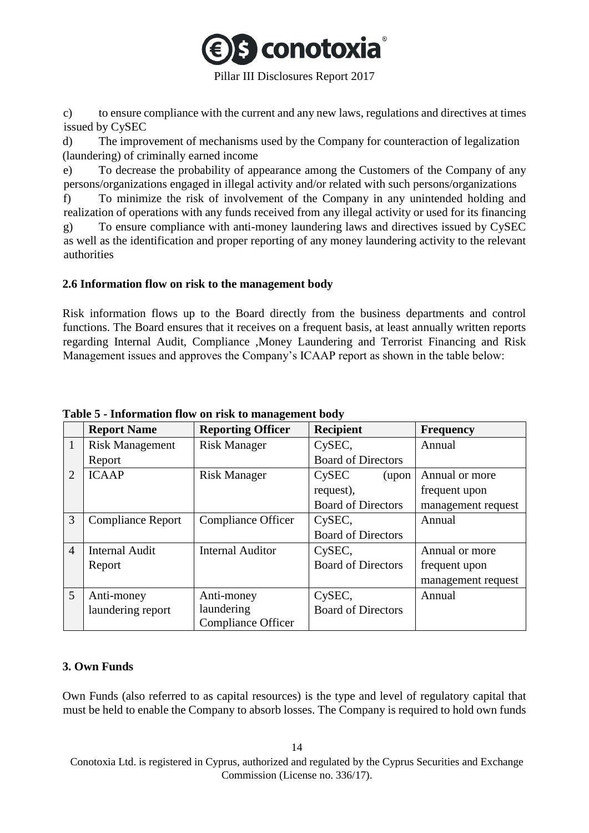

Pillar III Disclosures Report 2017

c) to ensure compliance with the current and any new laws, regulations and directives at times issued by CySEC

d) The improvement of mechanisms used by the Company for counteraction of legalization (laundering) of criminally earned income

e) To decrease the probability of appearance among the Customers of the Company of any persons/organizations engaged in illegal activity and/or related with such persons/organizations

f) To minimize the risk of involvement of the Company in any unintended holding and realization of operations with any funds received from any illegal activity or used for its financing g) To ensure compliance with anti-money laundering laws and directives issued by CySEC as well as the identification and proper reporting of any money laundering activity to the relevant authorities

#### <span id="page-13-0"></span>**2.6 Information flow on risk to the management body**

Risk information flows up to the Board directly from the business departments and control functions. The Board ensures that it receives on a frequent basis, at least annually written reports regarding Internal Audit, Compliance ,Money Laundering and Terrorist Financing and Risk Management issues and approves the Company's ICAAP report as shown in the table below:

|                | <b>Report Name</b>       | <b>Reporting Officer</b>  | <b>Recipient</b>           | <b>Frequency</b>   |
|----------------|--------------------------|---------------------------|----------------------------|--------------------|
| 1              | <b>Risk Management</b>   | <b>Risk Manager</b>       | CySEC,                     | Annual             |
|                | Report                   |                           | <b>Board of Directors</b>  |                    |
| $\overline{2}$ | <b>ICAAP</b>             | <b>Risk Manager</b>       | C <sub>y</sub> SEC<br>upon | Annual or more     |
|                |                          |                           | request),                  | frequent upon      |
|                |                          |                           | <b>Board of Directors</b>  | management request |
| 3              | <b>Compliance Report</b> | Compliance Officer        | CySEC,                     | Annual             |
|                |                          |                           | <b>Board of Directors</b>  |                    |
| $\overline{4}$ | <b>Internal Audit</b>    | <b>Internal Auditor</b>   | CySEC,                     | Annual or more     |
|                | Report                   |                           | <b>Board of Directors</b>  | frequent upon      |
|                |                          |                           |                            | management request |
| 5              | Anti-money               | Anti-money                | CySEC,                     | Annual             |
|                | laundering report        | laundering                | <b>Board of Directors</b>  |                    |
|                |                          | <b>Compliance Officer</b> |                            |                    |

## **Table 5 - Information flow on risk to management body**

## <span id="page-13-1"></span>**3. Own Funds**

Own Funds (also referred to as capital resources) is the type and level of regulatory capital that must be held to enable the Company to absorb losses. The Company is required to hold own funds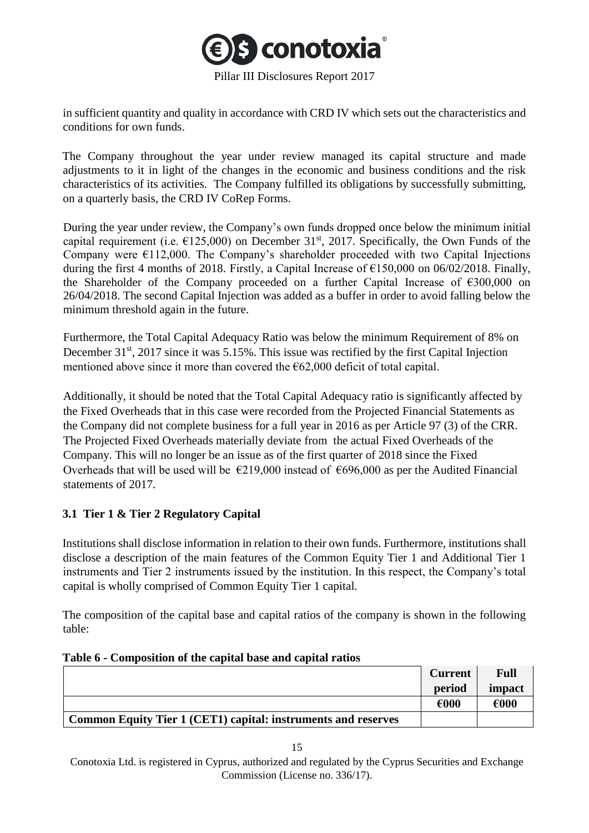

in sufficient quantity and quality in accordance with CRD IV which sets out the characteristics and conditions for own funds.

The Company throughout the year under review managed its capital structure and made adjustments to it in light of the changes in the economic and business conditions and the risk characteristics of its activities. The Company fulfilled its obligations by successfully submitting, on a quarterly basis, the CRD IV CoRep Forms.

During the year under review, the Company's own funds dropped once below the minimum initial capital requirement (i.e.  $\epsilon$ 125,000) on December 31<sup>st</sup>, 2017. Specifically, the Own Funds of the Company were  $\epsilon$ 112,000. The Company's shareholder proceeded with two Capital Injections during the first 4 months of 2018. Firstly, a Capital Increase of  $\epsilon$ 150,000 on 06/02/2018. Finally, the Shareholder of the Company proceeded on a further Capital Increase of  $\epsilon$ 300,000 on 26/04/2018. The second Capital Injection was added as a buffer in order to avoid falling below the minimum threshold again in the future.

Furthermore, the Total Capital Adequacy Ratio was below the minimum Requirement of 8% on December 31<sup>st</sup>, 2017 since it was 5.15%. This issue was rectified by the first Capital Injection mentioned above since it more than covered the  $\epsilon$ 62,000 deficit of total capital.

Additionally, it should be noted that the Total Capital Adequacy ratio is significantly affected by the Fixed Overheads that in this case were recorded from the Projected Financial Statements as the Company did not complete business for a full year in 2016 as per Article 97 (3) of the CRR. The Projected Fixed Overheads materially deviate from the actual Fixed Overheads of the Company. This will no longer be an issue as of the first quarter of 2018 since the Fixed Overheads that will be used will be  $\epsilon$ 219,000 instead of  $\epsilon$ 696,000 as per the Audited Financial statements of 2017.

## <span id="page-14-0"></span>**3.1 Tier 1 & Tier 2 Regulatory Capital**

Institutions shall disclose information in relation to their own funds. Furthermore, institutions shall disclose a description of the main features of the Common Equity Tier 1 and Additional Tier 1 instruments and Tier 2 instruments issued by the institution. In this respect, the Company's total capital is wholly comprised of Common Equity Tier 1 capital.

The composition of the capital base and capital ratios of the company is shown in the following table:

|                                                                      | <b>Current</b> | Full   |
|----------------------------------------------------------------------|----------------|--------|
|                                                                      | period         | impact |
|                                                                      | €000           | €000   |
| <b>Common Equity Tier 1 (CET1) capital: instruments and reserves</b> |                |        |

#### **Table 6 - Composition of the capital base and capital ratios**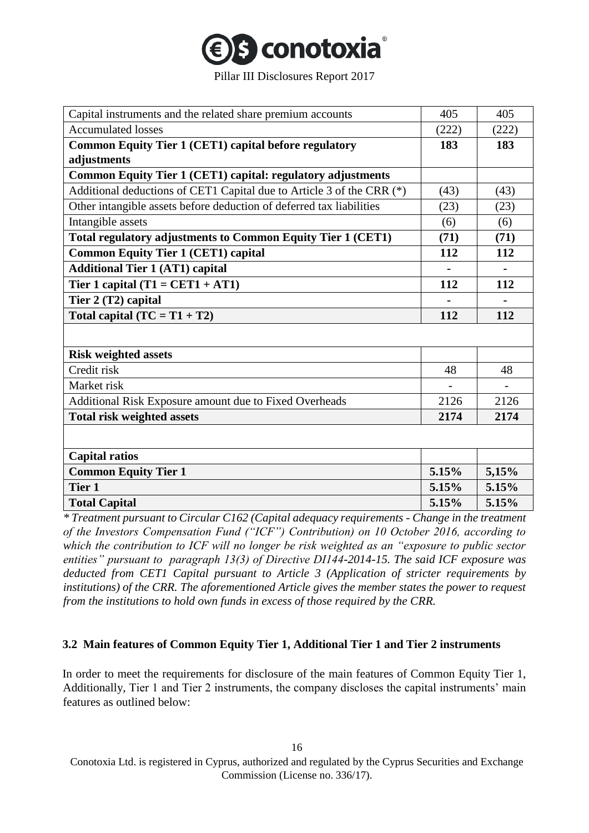

| Capital instruments and the related share premium accounts            | 405   | 405   |
|-----------------------------------------------------------------------|-------|-------|
| <b>Accumulated losses</b>                                             | (222) | (222) |
| <b>Common Equity Tier 1 (CET1) capital before regulatory</b>          | 183   | 183   |
| adjustments                                                           |       |       |
| Common Equity Tier 1 (CET1) capital: regulatory adjustments           |       |       |
| Additional deductions of CET1 Capital due to Article 3 of the CRR (*) | (43)  | (43)  |
| Other intangible assets before deduction of deferred tax liabilities  | (23)  | (23)  |
| Intangible assets                                                     | (6)   | (6)   |
| Total regulatory adjustments to Common Equity Tier 1 (CET1)           | (71)  | (71)  |
| <b>Common Equity Tier 1 (CET1) capital</b>                            | 112   | 112   |
| <b>Additional Tier 1 (AT1) capital</b>                                |       |       |
| Tier 1 capital $(T1 = CET1 + AT1)$                                    | 112   | 112   |
| Tier 2 (T2) capital                                                   |       |       |
| Total capital $(TC = T1 + T2)$                                        | 112   | 112   |
|                                                                       |       |       |
| <b>Risk weighted assets</b>                                           |       |       |
| Credit risk                                                           | 48    | 48    |
| Market risk                                                           |       |       |
| Additional Risk Exposure amount due to Fixed Overheads                | 2126  | 2126  |
| <b>Total risk weighted assets</b>                                     | 2174  | 2174  |
|                                                                       |       |       |
| <b>Capital ratios</b>                                                 |       |       |
| <b>Common Equity Tier 1</b>                                           | 5.15% | 5,15% |
| Tier 1                                                                | 5.15% | 5.15% |
| <b>Total Capital</b>                                                  | 5.15% | 5.15% |

*\* Treatment pursuant to Circular C162 (Capital adequacy requirements - Change in the treatment of the Investors Compensation Fund ("ICF") Contribution) on 10 October 2016, according to which the contribution to ICF will no longer be risk weighted as an "exposure to public sector entities" pursuant to paragraph 13(3) of Directive DI144-2014-15. The said ICF exposure was deducted from CET1 Capital pursuant to Article 3 (Application of stricter requirements by institutions) of the CRR. The aforementioned Article gives the member states the power to request from the institutions to hold own funds in excess of those required by the CRR.* 

## <span id="page-15-0"></span>**3.2 Main features of Common Equity Tier 1, Additional Tier 1 and Tier 2 instruments**

In order to meet the requirements for disclosure of the main features of Common Equity Tier 1, Additionally, Tier 1 and Tier 2 instruments, the company discloses the capital instruments' main features as outlined below: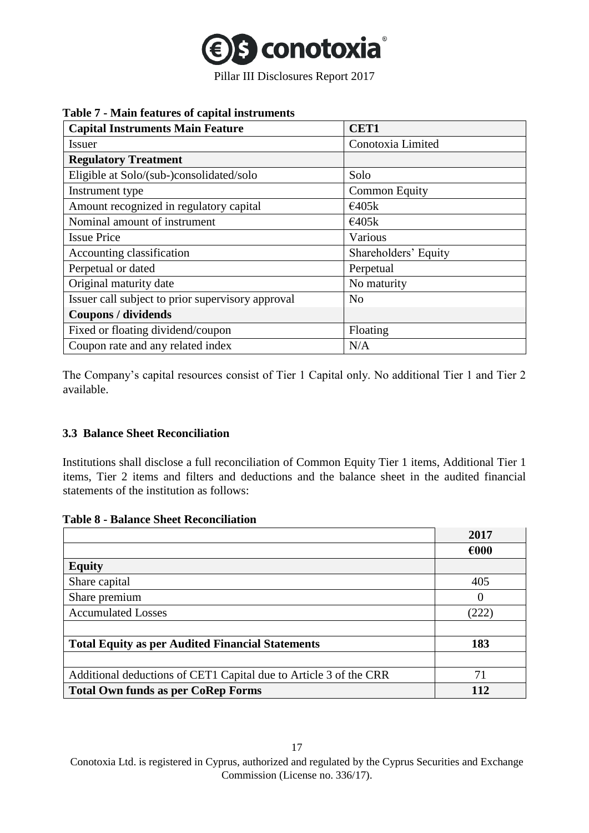

#### **Table 7 - Main features of capital instruments**

| <b>Capital Instruments Main Feature</b>           | CET1                 |
|---------------------------------------------------|----------------------|
| Issuer                                            | Conotoxia Limited    |
| <b>Regulatory Treatment</b>                       |                      |
| Eligible at Solo/(sub-)consolidated/solo          | Solo                 |
| Instrument type                                   | <b>Common Equity</b> |
| Amount recognized in regulatory capital           | €405k                |
| Nominal amount of instrument                      | €405k                |
| <b>Issue Price</b>                                | Various              |
| Accounting classification                         | Shareholders' Equity |
| Perpetual or dated                                | Perpetual            |
| Original maturity date                            | No maturity          |
| Issuer call subject to prior supervisory approval | N <sub>o</sub>       |
| <b>Coupons / dividends</b>                        |                      |
| Fixed or floating dividend/coupon                 | Floating             |
| Coupon rate and any related index                 | N/A                  |

The Company's capital resources consist of Tier 1 Capital only. No additional Tier 1 and Tier 2 available.

## <span id="page-16-0"></span>**3.3 Balance Sheet Reconciliation**

Institutions shall disclose a full reconciliation of Common Equity Tier 1 items, Additional Tier 1 items, Tier 2 items and filters and deductions and the balance sheet in the audited financial statements of the institution as follows:

| <b>Table 8 - Balance Sheet Reconciliation</b> |  |  |  |  |  |  |
|-----------------------------------------------|--|--|--|--|--|--|
|-----------------------------------------------|--|--|--|--|--|--|

|                                                                   | 2017           |
|-------------------------------------------------------------------|----------------|
|                                                                   | $\epsilon$ 000 |
| <b>Equity</b>                                                     |                |
| Share capital                                                     | 405            |
| Share premium                                                     |                |
| <b>Accumulated Losses</b>                                         | (222)          |
|                                                                   |                |
| <b>Total Equity as per Audited Financial Statements</b>           | 183            |
|                                                                   |                |
| Additional deductions of CET1 Capital due to Article 3 of the CRR | 71             |
| <b>Total Own funds as per CoRep Forms</b>                         | 12             |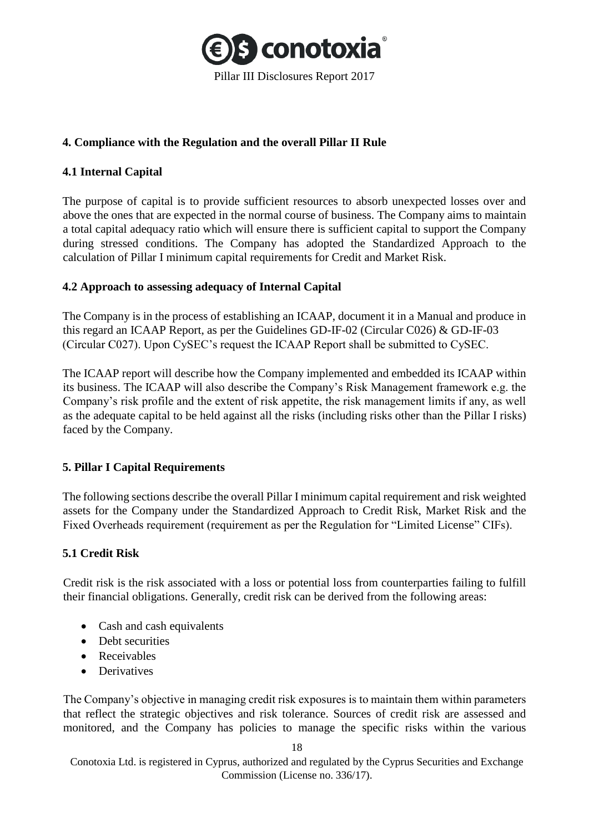

## <span id="page-17-0"></span>**4. Compliance with the Regulation and the overall Pillar II Rule**

## <span id="page-17-1"></span>**4.1 Internal Capital**

The purpose of capital is to provide sufficient resources to absorb unexpected losses over and above the ones that are expected in the normal course of business. The Company aims to maintain a total capital adequacy ratio which will ensure there is sufficient capital to support the Company during stressed conditions. The Company has adopted the Standardized Approach to the calculation of Pillar I minimum capital requirements for Credit and Market Risk.

## <span id="page-17-2"></span>**4.2 Approach to assessing adequacy of Internal Capital**

The Company is in the process of establishing an ICAAP, document it in a Manual and produce in this regard an ICAAP Report, as per the Guidelines GD-IF-02 (Circular C026) & GD-IF-03 (Circular C027). Upon CySEC's request the ICAAP Report shall be submitted to CySEC.

The ICAAP report will describe how the Company implemented and embedded its ICAAP within its business. The ICAAP will also describe the Company's Risk Management framework e.g. the Company's risk profile and the extent of risk appetite, the risk management limits if any, as well as the adequate capital to be held against all the risks (including risks other than the Pillar I risks) faced by the Company.

## <span id="page-17-3"></span>**5. Pillar I Capital Requirements**

The following sections describe the overall Pillar I minimum capital requirement and risk weighted assets for the Company under the Standardized Approach to Credit Risk, Market Risk and the Fixed Overheads requirement (requirement as per the Regulation for "Limited License" CIFs).

## <span id="page-17-4"></span>**5.1 Credit Risk**

Credit risk is the risk associated with a loss or potential loss from counterparties failing to fulfill their financial obligations. Generally, credit risk can be derived from the following areas:

- Cash and cash equivalents
- Debt securities
- Receivables
- Derivatives

The Company's objective in managing credit risk exposures is to maintain them within parameters that reflect the strategic objectives and risk tolerance. Sources of credit risk are assessed and monitored, and the Company has policies to manage the specific risks within the various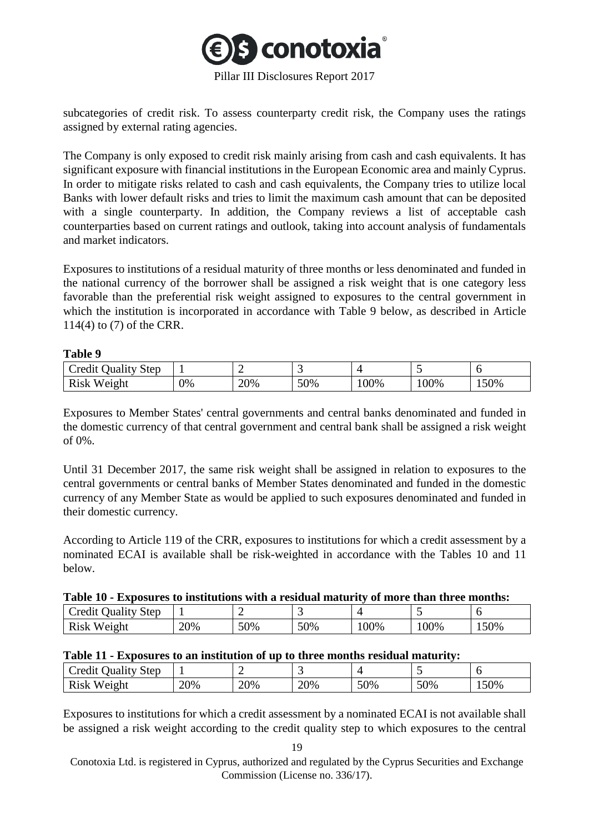

subcategories of credit risk. To assess counterparty credit risk, the Company uses the ratings assigned by external rating agencies.

The Company is only exposed to credit risk mainly arising from cash and cash equivalents. It has significant exposure with financial institutions in the European Economic area and mainly Cyprus. In order to mitigate risks related to cash and cash equivalents, the Company tries to utilize local Banks with lower default risks and tries to limit the maximum cash amount that can be deposited with a single counterparty. In addition, the Company reviews a list of acceptable cash counterparties based on current ratings and outlook, taking into account analysis of fundamentals and market indicators.

Exposures to institutions of a residual maturity of three months or less denominated and funded in the national currency of the borrower shall be assigned a risk weight that is one category less favorable than the preferential risk weight assigned to exposures to the central government in which the institution is incorporated in accordance with Table 9 below, as described in Article 114(4) to (7) of the CRR.

#### **Table 9**

| Credit<br>Juality Step |    |     |     |     |        |      |
|------------------------|----|-----|-----|-----|--------|------|
| <b>Risk</b><br>Weight  | 0% | 20% | 50% | 00% | $00\%$ | 150% |

Exposures to Member States' central governments and central banks denominated and funded in the domestic currency of that central government and central bank shall be assigned a risk weight of 0%.

Until 31 December 2017, the same risk weight shall be assigned in relation to exposures to the central governments or central banks of Member States denominated and funded in the domestic currency of any Member State as would be applied to such exposures denominated and funded in their domestic currency.

According to Article 119 of the CRR, exposures to institutions for which a credit assessment by a nominated ECAI is available shall be risk-weighted in accordance with the Tables 10 and 11 below.

|  | Table 10 - Exposures to institutions with a residual maturity of more than three months: |
|--|------------------------------------------------------------------------------------------|
|--|------------------------------------------------------------------------------------------|

| <b>Step</b><br>Cred11'<br>Juality |     | <br>∽ |     |      |      |      |
|-----------------------------------|-----|-------|-----|------|------|------|
| Weight<br>K1SK                    | 20% | 50%   | 50% | .00% | 100% | 150% |

#### **Table 11 - Exposures to an institution of up to three months residual maturity:**

| Credit<br>Step<br>Juality ' |     | ∼   |     |     |     |      |
|-----------------------------|-----|-----|-----|-----|-----|------|
| Risk<br>Weight              | 20% | 20% | 20% | 50% | 50% | 150% |

Exposures to institutions for which a credit assessment by a nominated ECAI is not available shall be assigned a risk weight according to the credit quality step to which exposures to the central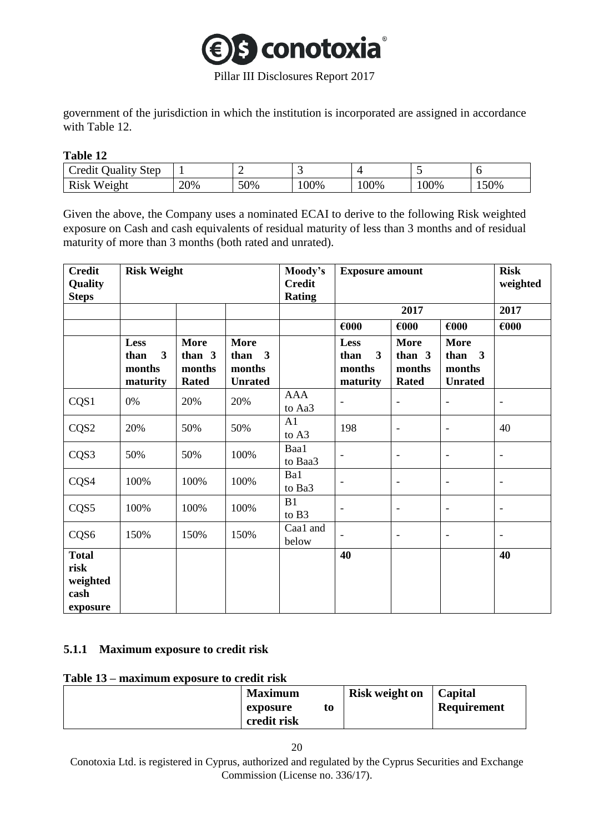

government of the jurisdiction in which the institution is incorporated are assigned in accordance with Table 12.

#### **Table 12**

| $\sim$<br>Step<br>redit<br>$- + -$<br>11 O I<br>лаші |     | -   | . .  |     | . . | ◡    |
|------------------------------------------------------|-----|-----|------|-----|-----|------|
| 'n,<br>レュペレ<br>Weight<br>ACLA                        | 20% | 50% | .00% | 00% | 00% | 150% |

Given the above, the Company uses a nominated ECAI to derive to the following Risk weighted exposure on Cash and cash equivalents of residual maturity of less than 3 months and of residual maturity of more than 3 months (both rated and unrated).

| <b>Credit</b><br>Quality<br><b>Steps</b>             | <b>Risk Weight</b>                                            |                                                   |                                                   | Moody's<br><b>Credit</b><br><b>Rating</b> | <b>Exposure amount</b>                                        |                                                 | <b>Risk</b><br>weighted                           |                          |
|------------------------------------------------------|---------------------------------------------------------------|---------------------------------------------------|---------------------------------------------------|-------------------------------------------|---------------------------------------------------------------|-------------------------------------------------|---------------------------------------------------|--------------------------|
|                                                      |                                                               |                                                   |                                                   |                                           |                                                               | 2017                                            |                                                   | 2017                     |
|                                                      |                                                               |                                                   |                                                   |                                           | $\epsilon$ 000                                                | $\epsilon$ 000                                  | $\epsilon$ 000                                    | $\epsilon$ 000           |
|                                                      | Less<br>$\overline{\mathbf{3}}$<br>than<br>months<br>maturity | <b>More</b><br>than $3$<br>months<br><b>Rated</b> | <b>More</b><br>than 3<br>months<br><b>Unrated</b> |                                           | Less<br>$\overline{\mathbf{3}}$<br>than<br>months<br>maturity | <b>More</b><br>than 3<br>months<br><b>Rated</b> | <b>More</b><br>than 3<br>months<br><b>Unrated</b> |                          |
| CQS1                                                 | 0%                                                            | 20%                                               | 20%                                               | <b>AAA</b><br>to Aa3                      | $\overline{\phantom{a}}$                                      | $\blacksquare$                                  | $\overline{a}$                                    | $\overline{\phantom{a}}$ |
| CQS2                                                 | 20%                                                           | 50%                                               | 50%                                               | A1<br>to A3                               | 198                                                           | $\overline{\phantom{a}}$                        | $\overline{\phantom{0}}$                          | 40                       |
| CQS3                                                 | 50%                                                           | 50%                                               | 100%                                              | Baa1<br>to Baa3                           | $\overline{\phantom{a}}$                                      | $\overline{\phantom{a}}$                        | $\overline{\phantom{0}}$                          | $\overline{a}$           |
| CQS4                                                 | 100%                                                          | 100%                                              | 100%                                              | Ba1<br>to Ba3                             | $\overline{\phantom{a}}$                                      | $\overline{\phantom{a}}$                        | $\overline{\phantom{a}}$                          | $\overline{\phantom{a}}$ |
| CQS5                                                 | 100%                                                          | 100%                                              | 100%                                              | B1<br>to B3                               | $\overline{\phantom{a}}$                                      | $\overline{\phantom{a}}$                        | $\overline{\phantom{a}}$                          | $\overline{\phantom{a}}$ |
| CQS6                                                 | 150%                                                          | 150%                                              | 150%                                              | Caa1 and<br>below                         | $\overline{\phantom{0}}$                                      | $\overline{\phantom{a}}$                        | $\overline{\phantom{a}}$                          | $\qquad \qquad -$        |
| <b>Total</b><br>risk<br>weighted<br>cash<br>exposure |                                                               |                                                   |                                                   |                                           | 40                                                            |                                                 |                                                   | 40                       |

## <span id="page-19-0"></span>**5.1.1 Maximum exposure to credit risk**

#### **Table 13 – maximum exposure to credit risk**

| <b>Maximum</b> | <b>Risk weight on</b> | Capital            |
|----------------|-----------------------|--------------------|
| exposure       |                       | <b>Requirement</b> |
| credit risk    |                       |                    |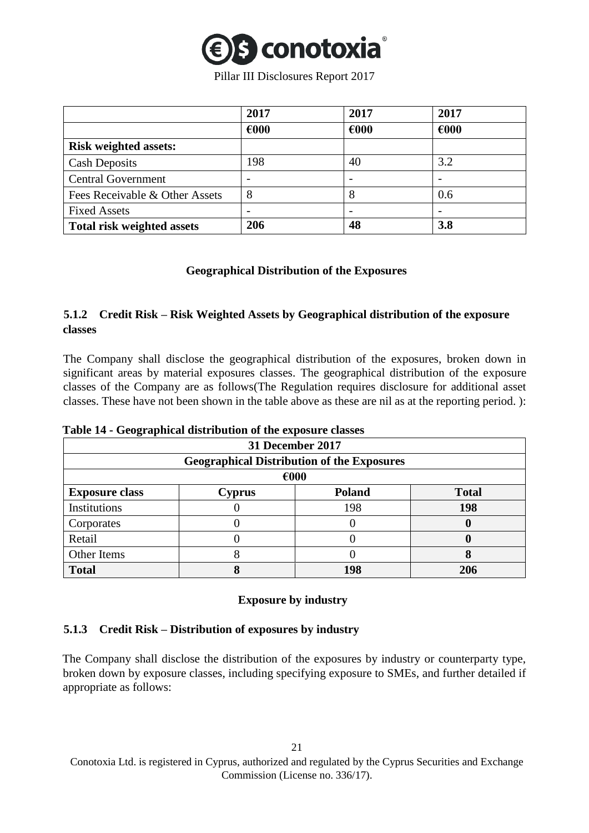

|                                | 2017           | 2017                     | 2017           |
|--------------------------------|----------------|--------------------------|----------------|
|                                | $\epsilon$ 000 | $\epsilon$ 000           | $\epsilon$ 000 |
| <b>Risk weighted assets:</b>   |                |                          |                |
| <b>Cash Deposits</b>           | 198            | 40                       | 3.2            |
| <b>Central Government</b>      |                |                          |                |
| Fees Receivable & Other Assets | 8              | 8                        | 0.6            |
| <b>Fixed Assets</b>            |                | $\overline{\phantom{0}}$ |                |
| Total risk weighted assets     | 206            | 48                       | 3.8            |

## **Geographical Distribution of the Exposures**

## <span id="page-20-1"></span><span id="page-20-0"></span>**5.1.2 Credit Risk – Risk Weighted Assets by Geographical distribution of the exposure classes**

The Company shall disclose the geographical distribution of the exposures, broken down in significant areas by material exposures classes. The geographical distribution of the exposure classes of the Company are as follows(The Regulation requires disclosure for additional asset classes. These have not been shown in the table above as these are nil as at the reporting period. ):

|  | Table 14 - Geographical distribution of the exposure classes |  |  |  |
|--|--------------------------------------------------------------|--|--|--|
|--|--------------------------------------------------------------|--|--|--|

| 31 December 2017      |                                                   |               |              |  |  |  |
|-----------------------|---------------------------------------------------|---------------|--------------|--|--|--|
|                       | <b>Geographical Distribution of the Exposures</b> |               |              |  |  |  |
| $\epsilon$ 000        |                                                   |               |              |  |  |  |
| <b>Exposure class</b> | <b>Cyprus</b>                                     | <b>Poland</b> | <b>Total</b> |  |  |  |
| Institutions          |                                                   | 198           | 198          |  |  |  |
| Corporates            |                                                   |               |              |  |  |  |
| Retail                |                                                   |               |              |  |  |  |
| Other Items<br>Ω<br>О |                                                   |               |              |  |  |  |
| <b>Total</b>          |                                                   | 198           | 206          |  |  |  |

#### **Exposure by industry**

## <span id="page-20-2"></span>**5.1.3 Credit Risk – Distribution of exposures by industry**

The Company shall disclose the distribution of the exposures by industry or counterparty type, broken down by exposure classes, including specifying exposure to SMEs, and further detailed if appropriate as follows: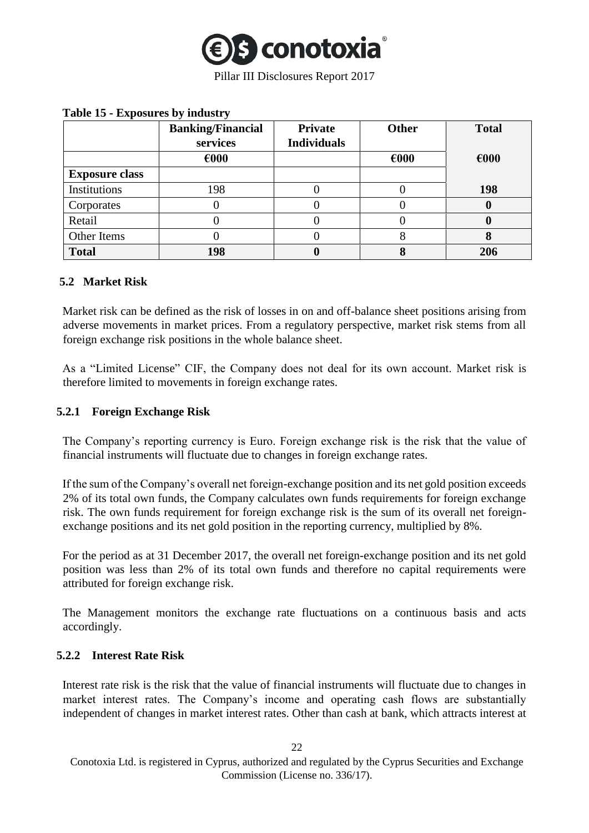

|                       | <b>Banking/Financial</b> | <b>Private</b>     | Other          | <b>Total</b>   |
|-----------------------|--------------------------|--------------------|----------------|----------------|
|                       | services                 | <b>Individuals</b> |                |                |
|                       | $\epsilon$ 000           |                    | $\epsilon$ 000 | $\epsilon$ 000 |
| <b>Exposure class</b> |                          |                    |                |                |
| Institutions          | 198                      |                    |                | 198            |
| Corporates            |                          |                    |                | O              |
| Retail                |                          |                    | U              | 0              |
| Other Items           |                          |                    | δ              | 8              |
| <b>Total</b>          | 198                      |                    |                | 206            |

## **Table 15 - Exposures by industry**

## <span id="page-21-0"></span>**5.2 Market Risk**

Market risk can be defined as the risk of losses in on and off-balance sheet positions arising from adverse movements in market prices. From a regulatory perspective, market risk stems from all foreign exchange risk positions in the whole balance sheet.

As a "Limited License" CIF, the Company does not deal for its own account. Market risk is therefore limited to movements in foreign exchange rates.

## <span id="page-21-1"></span>**5.2.1 Foreign Exchange Risk**

The Company's reporting currency is Euro. Foreign exchange risk is the risk that the value of financial instruments will fluctuate due to changes in foreign exchange rates.

If the sum of the Company's overall net foreign-exchange position and its net gold position exceeds 2% of its total own funds, the Company calculates own funds requirements for foreign exchange risk. The own funds requirement for foreign exchange risk is the sum of its overall net foreignexchange positions and its net gold position in the reporting currency, multiplied by 8%.

For the period as at 31 December 2017, the overall net foreign-exchange position and its net gold position was less than 2% of its total own funds and therefore no capital requirements were attributed for foreign exchange risk.

The Management monitors the exchange rate fluctuations on a continuous basis and acts accordingly.

## <span id="page-21-2"></span>**5.2.2 Interest Rate Risk**

Interest rate risk is the risk that the value of financial instruments will fluctuate due to changes in market interest rates. The Company's income and operating cash flows are substantially independent of changes in market interest rates. Other than cash at bank, which attracts interest at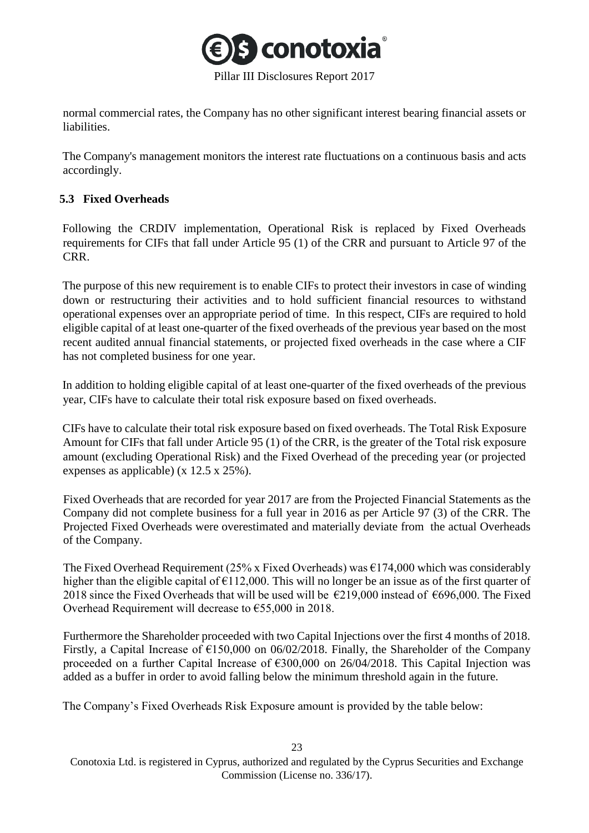

normal commercial rates, the Company has no other significant interest bearing financial assets or liabilities.

The Company's management monitors the interest rate fluctuations on a continuous basis and acts accordingly.

## <span id="page-22-0"></span>**5.3 Fixed Overheads**

Following the CRDIV implementation, Operational Risk is replaced by Fixed Overheads requirements for CIFs that fall under Article 95 (1) of the CRR and pursuant to Article 97 of the CRR.

The purpose of this new requirement is to enable CIFs to protect their investors in case of winding down or restructuring their activities and to hold sufficient financial resources to withstand operational expenses over an appropriate period of time. In this respect, CIFs are required to hold eligible capital of at least one-quarter of the fixed overheads of the previous year based on the most recent audited annual financial statements, or projected fixed overheads in the case where a CIF has not completed business for one year.

In addition to holding eligible capital of at least one-quarter of the fixed overheads of the previous year, CIFs have to calculate their total risk exposure based on fixed overheads.

CIFs have to calculate their total risk exposure based on fixed overheads. The Total Risk Exposure Amount for CIFs that fall under Article 95 (1) of the CRR, is the greater of the Total risk exposure amount (excluding Operational Risk) and the Fixed Overhead of the preceding year (or projected expenses as applicable) (x 12.5 x 25%).

Fixed Overheads that are recorded for year 2017 are from the Projected Financial Statements as the Company did not complete business for a full year in 2016 as per Article 97 (3) of the CRR. The Projected Fixed Overheads were overestimated and materially deviate from the actual Overheads of the Company.

The Fixed Overhead Requirement (25% x Fixed Overheads) was  $\epsilon$ 174,000 which was considerably higher than the eligible capital of  $\epsilon$ 112,000. This will no longer be an issue as of the first quarter of 2018 since the Fixed Overheads that will be used will be  $\epsilon$ 219,000 instead of  $\epsilon$ 696,000. The Fixed Overhead Requirement will decrease to €55,000 in 2018.

Furthermore the Shareholder proceeded with two Capital Injections over the first 4 months of 2018. Firstly, a Capital Increase of  $\epsilon$ 150,000 on 06/02/2018. Finally, the Shareholder of the Company proceeded on a further Capital Increase of €300,000 on 26/04/2018. This Capital Injection was added as a buffer in order to avoid falling below the minimum threshold again in the future.

The Company's Fixed Overheads Risk Exposure amount is provided by the table below: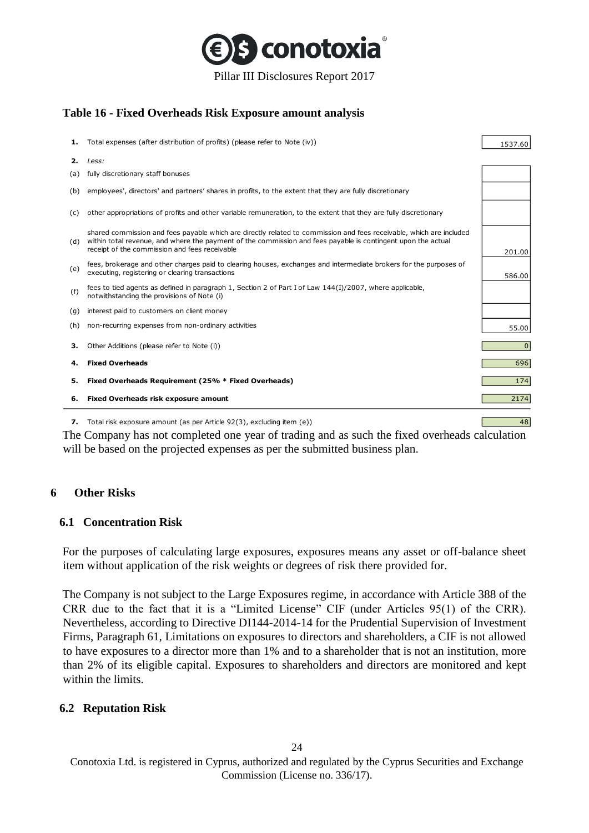

## **Table 16 - Fixed Overheads Risk Exposure amount analysis**

| 1.  | Total expenses (after distribution of profits) (please refer to Note (iv))                                                                                                                                                                                                           | 1537.60      |
|-----|--------------------------------------------------------------------------------------------------------------------------------------------------------------------------------------------------------------------------------------------------------------------------------------|--------------|
| 2.  | Less:                                                                                                                                                                                                                                                                                |              |
| (a) | fully discretionary staff bonuses                                                                                                                                                                                                                                                    |              |
| (b) | employees', directors' and partners' shares in profits, to the extent that they are fully discretionary                                                                                                                                                                              |              |
| (c) | other appropriations of profits and other variable remuneration, to the extent that they are fully discretionary                                                                                                                                                                     |              |
| (d) | shared commission and fees payable which are directly related to commission and fees receivable, which are included<br>within total revenue, and where the payment of the commission and fees payable is contingent upon the actual<br>receipt of the commission and fees receivable | 201.00       |
| (e) | fees, brokerage and other charges paid to clearing houses, exchanges and intermediate brokers for the purposes of<br>executing, registering or clearing transactions                                                                                                                 | 586.00       |
| (f) | fees to tied agents as defined in paragraph 1, Section 2 of Part I of Law 144(I)/2007, where applicable,<br>notwithstanding the provisions of Note (i)                                                                                                                               |              |
| (g) | interest paid to customers on client money                                                                                                                                                                                                                                           |              |
| (h) | non-recurring expenses from non-ordinary activities                                                                                                                                                                                                                                  | 55.00        |
| з.  | Other Additions (please refer to Note (i))                                                                                                                                                                                                                                           | $\mathbf{0}$ |
| 4.  | <b>Fixed Overheads</b>                                                                                                                                                                                                                                                               | 696          |
| 5.  | Fixed Overheads Requirement (25% * Fixed Overheads)                                                                                                                                                                                                                                  | 174          |
| 6.  | <b>Fixed Overheads risk exposure amount</b>                                                                                                                                                                                                                                          | 2174         |

**7.** Total risk exposure amount (as per Article 92(3), excluding item (e))  $\sqrt{48}$ 

The Company has not completed one year of trading and as such the fixed overheads calculation will be based on the projected expenses as per the submitted business plan.

#### <span id="page-23-0"></span>**6 Other Risks**

#### <span id="page-23-1"></span>**6.1 Concentration Risk**

For the purposes of calculating large exposures, exposures means any asset or off-balance sheet item without application of the risk weights or degrees of risk there provided for.

The Company is not subject to the Large Exposures regime, in accordance with Article 388 of the CRR due to the fact that it is a "Limited License" CIF (under Articles 95(1) of the CRR). Nevertheless, according to Directive DI144-2014-14 for the Prudential Supervision of Investment Firms, Paragraph 61, Limitations on exposures to directors and shareholders, a CIF is not allowed to have exposures to a director more than 1% and to a shareholder that is not an institution, more than 2% of its eligible capital. Exposures to shareholders and directors are monitored and kept within the limits.

#### <span id="page-23-2"></span>**6.2 Reputation Risk**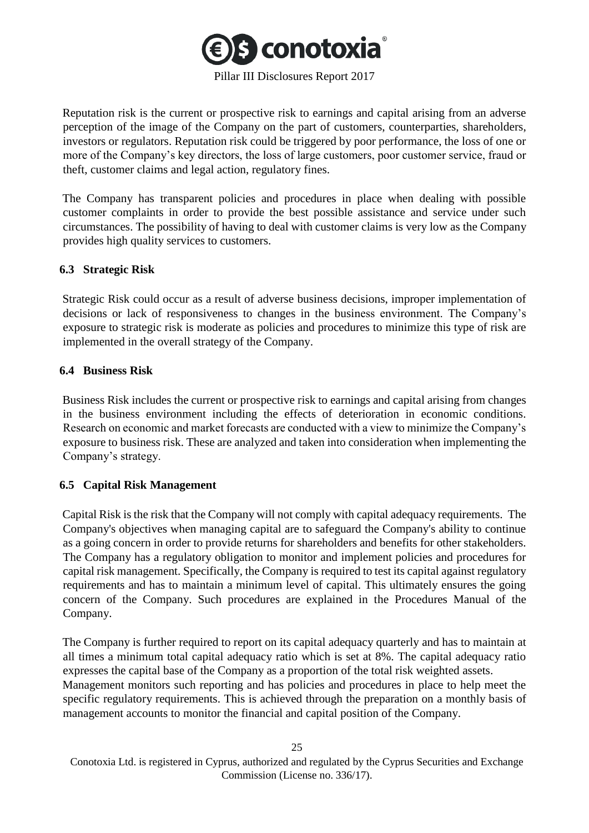

Reputation risk is the current or prospective risk to earnings and capital arising from an adverse perception of the image of the Company on the part of customers, counterparties, shareholders, investors or regulators. Reputation risk could be triggered by poor performance, the loss of one or more of the Company's key directors, the loss of large customers, poor customer service, fraud or theft, customer claims and legal action, regulatory fines.

The Company has transparent policies and procedures in place when dealing with possible customer complaints in order to provide the best possible assistance and service under such circumstances. The possibility of having to deal with customer claims is very low as the Company provides high quality services to customers.

#### <span id="page-24-0"></span>**6.3 Strategic Risk**

Strategic Risk could occur as a result of adverse business decisions, improper implementation of decisions or lack of responsiveness to changes in the business environment. The Company's exposure to strategic risk is moderate as policies and procedures to minimize this type of risk are implemented in the overall strategy of the Company.

#### <span id="page-24-1"></span>**6.4 Business Risk**

Business Risk includes the current or prospective risk to earnings and capital arising from changes in the business environment including the effects of deterioration in economic conditions. Research on economic and market forecasts are conducted with a view to minimize the Company's exposure to business risk. These are analyzed and taken into consideration when implementing the Company's strategy.

## <span id="page-24-2"></span>**6.5 Capital Risk Management**

Capital Risk is the risk that the Company will not comply with capital adequacy requirements. The Company's objectives when managing capital are to safeguard the Company's ability to continue as a going concern in order to provide returns for shareholders and benefits for other stakeholders. The Company has a regulatory obligation to monitor and implement policies and procedures for capital risk management. Specifically, the Company is required to test its capital against regulatory requirements and has to maintain a minimum level of capital. This ultimately ensures the going concern of the Company. Such procedures are explained in the Procedures Manual of the Company.

The Company is further required to report on its capital adequacy quarterly and has to maintain at all times a minimum total capital adequacy ratio which is set at 8%. The capital adequacy ratio expresses the capital base of the Company as a proportion of the total risk weighted assets.

Management monitors such reporting and has policies and procedures in place to help meet the specific regulatory requirements. This is achieved through the preparation on a monthly basis of management accounts to monitor the financial and capital position of the Company.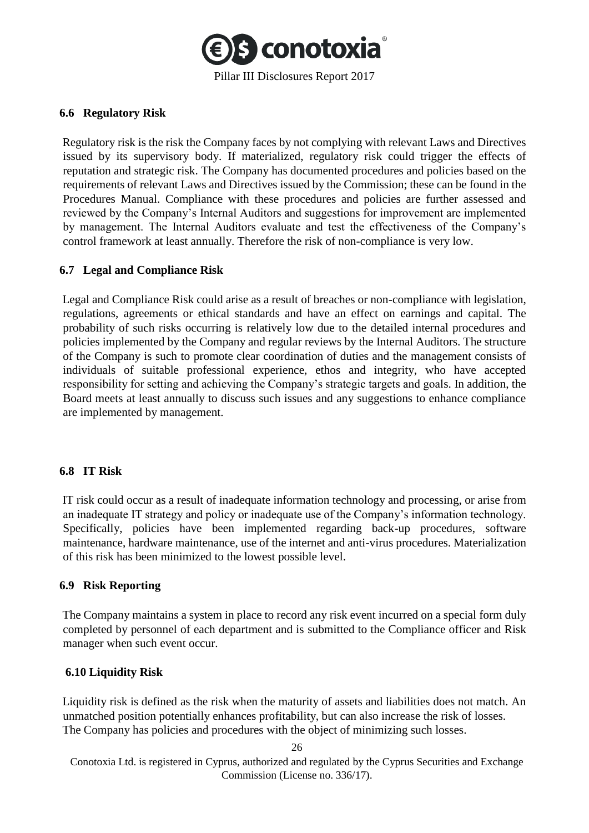

#### <span id="page-25-0"></span>**6.6 Regulatory Risk**

Regulatory risk is the risk the Company faces by not complying with relevant Laws and Directives issued by its supervisory body. If materialized, regulatory risk could trigger the effects of reputation and strategic risk. The Company has documented procedures and policies based on the requirements of relevant Laws and Directives issued by the Commission; these can be found in the Procedures Manual. Compliance with these procedures and policies are further assessed and reviewed by the Company's Internal Auditors and suggestions for improvement are implemented by management. The Internal Auditors evaluate and test the effectiveness of the Company's control framework at least annually. Therefore the risk of non-compliance is very low.

#### <span id="page-25-1"></span>**6.7 Legal and Compliance Risk**

Legal and Compliance Risk could arise as a result of breaches or non-compliance with legislation, regulations, agreements or ethical standards and have an effect on earnings and capital. The probability of such risks occurring is relatively low due to the detailed internal procedures and policies implemented by the Company and regular reviews by the Internal Auditors. The structure of the Company is such to promote clear coordination of duties and the management consists of individuals of suitable professional experience, ethos and integrity, who have accepted responsibility for setting and achieving the Company's strategic targets and goals. In addition, the Board meets at least annually to discuss such issues and any suggestions to enhance compliance are implemented by management.

#### <span id="page-25-2"></span>**6.8 IT Risk**

IT risk could occur as a result of inadequate information technology and processing, or arise from an inadequate IT strategy and policy or inadequate use of the Company's information technology. Specifically, policies have been implemented regarding back-up procedures, software maintenance, hardware maintenance, use of the internet and anti-virus procedures. Materialization of this risk has been minimized to the lowest possible level.

#### <span id="page-25-3"></span>**6.9 Risk Reporting**

The Company maintains a system in place to record any risk event incurred on a special form duly completed by personnel of each department and is submitted to the Compliance officer and Risk manager when such event occur.

## <span id="page-25-4"></span>**6.10 Liquidity Risk**

Liquidity risk is defined as the risk when the maturity of assets and liabilities does not match. An unmatched position potentially enhances profitability, but can also increase the risk of losses. The Company has policies and procedures with the object of minimizing such losses.

Conotoxia Ltd. is registered in Cyprus, authorized and regulated by the Cyprus Securities and Exchange Commission (License no. 336/17).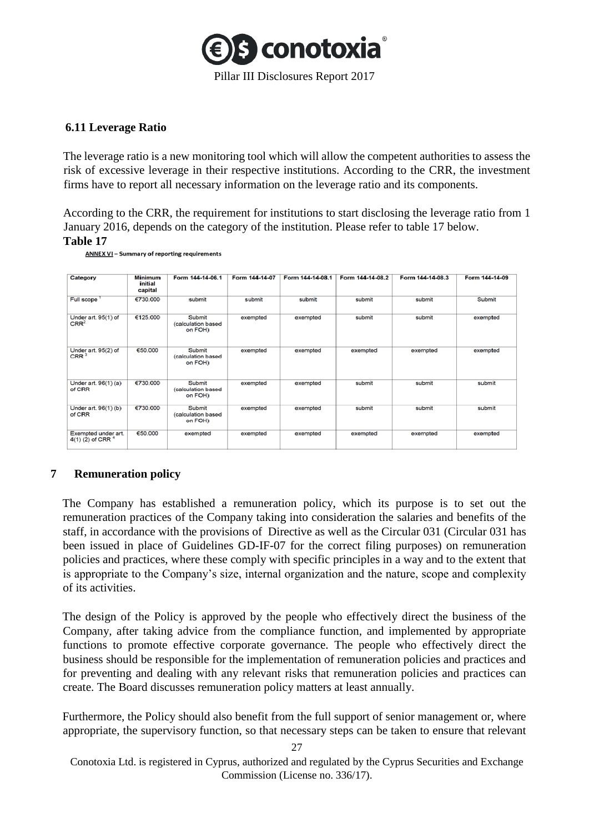

## <span id="page-26-0"></span>**6.11 Leverage Ratio**

The leverage ratio is a new monitoring tool which will allow the competent authorities to assess the risk of excessive leverage in their respective institutions. According to the CRR, the investment firms have to report all necessary information on the leverage ratio and its components.

According to the CRR, the requirement for institutions to start disclosing the leverage ratio from 1 January 2016, depends on the category of the institution. Please refer to table 17 below.

#### **Table 17**

| Category                                     | <b>Minimum</b><br>initial<br>capital | Form 144-14-06.1                        | Form 144-14-07 | Form 144-14-08.1 | Form 144-14-08.2 | Form 144-14-08.3 | Form 144-14-09 |
|----------------------------------------------|--------------------------------------|-----------------------------------------|----------------|------------------|------------------|------------------|----------------|
| Full scope                                   | €730,000                             | submit                                  | submit         | submit           | submit           | submit           | Submit         |
| Under art. 95(1) of<br>CRR <sup>2</sup>      | €125.000                             | Submit<br>(calculation based<br>on FOH) | exempted       | exempted         | submit           | submit           | exempted       |
| Under art. 95(2) of<br>CRR <sup>3</sup>      | €50.000                              | Submit<br>(calculation based<br>on FOH) | exempted       | exempted         | exempted         | exempted         | exempted       |
| Under art. 96(1) (a)<br>of CRR               | €730.000                             | Submit<br>(calculation based<br>on FOH) | exempted       | exempted         | submit           | submit           | submit         |
| Under art. 96(1) (b)<br>of CRR               | €730.000                             | Submit<br>(calculation based<br>on FOH) | exempted       | exempted         | submit           | submit           | submit         |
| Exempted under art.<br>$4(1)$ (2) of CRR $4$ | €50,000                              | exempted                                | exempted       | exempted         | exempted         | exempted         | exempted       |

**ANNEX VI** - Summary of reporting requirements

## <span id="page-26-1"></span>**7 Remuneration policy**

The Company has established a remuneration policy, which its purpose is to set out the remuneration practices of the Company taking into consideration the salaries and benefits of the staff, in accordance with the provisions of Directive as well as the Circular 031 (Circular 031 has been issued in place of Guidelines GD-IF-07 for the correct filing purposes) on remuneration policies and practices, where these comply with specific principles in a way and to the extent that is appropriate to the Company's size, internal organization and the nature, scope and complexity of its activities.

The design of the Policy is approved by the people who effectively direct the business of the Company, after taking advice from the compliance function, and implemented by appropriate functions to promote effective corporate governance. The people who effectively direct the business should be responsible for the implementation of remuneration policies and practices and for preventing and dealing with any relevant risks that remuneration policies and practices can create. The Board discusses remuneration policy matters at least annually.

Furthermore, the Policy should also benefit from the full support of senior management or, where appropriate, the supervisory function, so that necessary steps can be taken to ensure that relevant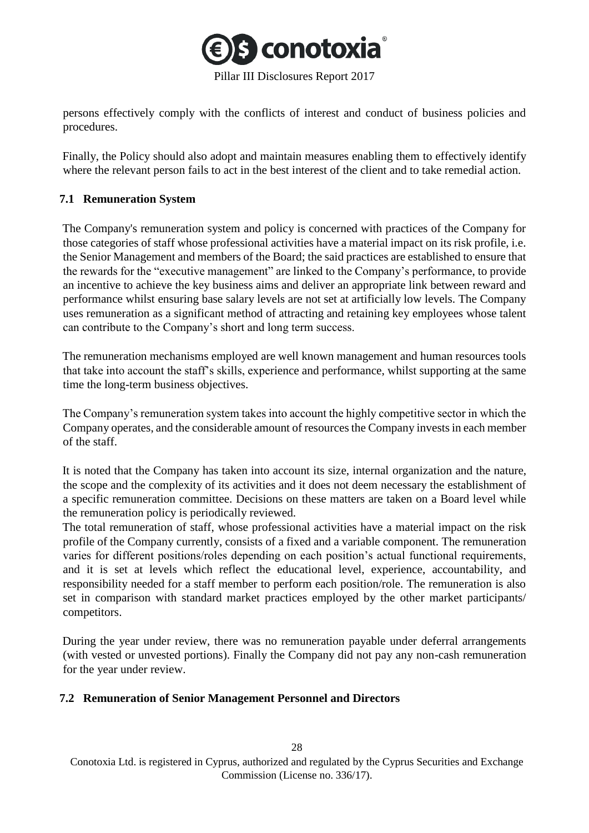

persons effectively comply with the conflicts of interest and conduct of business policies and procedures.

Finally, the Policy should also adopt and maintain measures enabling them to effectively identify where the relevant person fails to act in the best interest of the client and to take remedial action.

#### <span id="page-27-0"></span>**7.1 Remuneration System**

The Company's remuneration system and policy is concerned with practices of the Company for those categories of staff whose professional activities have a material impact on its risk profile, i.e. the Senior Management and members of the Board; the said practices are established to ensure that the rewards for the "executive management" are linked to the Company's performance, to provide an incentive to achieve the key business aims and deliver an appropriate link between reward and performance whilst ensuring base salary levels are not set at artificially low levels. The Company uses remuneration as a significant method of attracting and retaining key employees whose talent can contribute to the Company's short and long term success.

The remuneration mechanisms employed are well known management and human resources tools that take into account the staff's skills, experience and performance, whilst supporting at the same time the long-term business objectives.

The Company's remuneration system takes into account the highly competitive sector in which the Company operates, and the considerable amount of resources the Company invests in each member of the staff.

It is noted that the Company has taken into account its size, internal organization and the nature, the scope and the complexity of its activities and it does not deem necessary the establishment of a specific remuneration committee. Decisions on these matters are taken on a Board level while the remuneration policy is periodically reviewed.

The total remuneration of staff, whose professional activities have a material impact on the risk profile of the Company currently, consists of a fixed and a variable component. The remuneration varies for different positions/roles depending on each position's actual functional requirements, and it is set at levels which reflect the educational level, experience, accountability, and responsibility needed for a staff member to perform each position/role. The remuneration is also set in comparison with standard market practices employed by the other market participants/ competitors.

During the year under review, there was no remuneration payable under deferral arrangements (with vested or unvested portions). Finally the Company did not pay any non-cash remuneration for the year under review.

#### <span id="page-27-1"></span>**7.2 Remuneration of Senior Management Personnel and Directors**